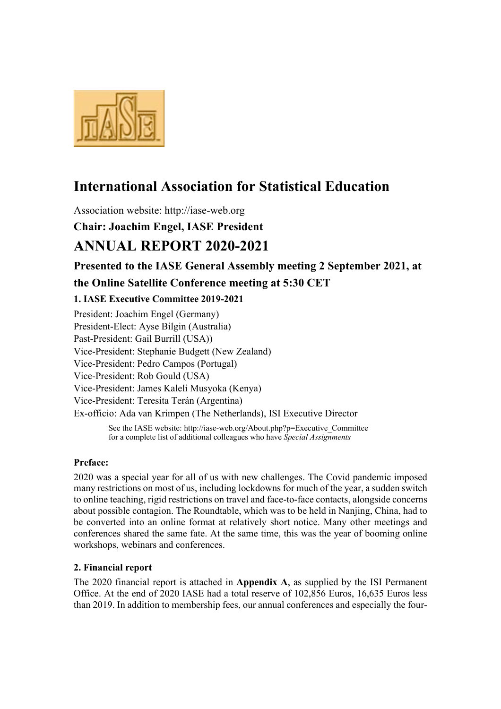

# **International Association for Statistical Education**

Association website: http://iase-web.org

**Chair: Joachim Engel, IASE President** 

# **ANNUAL REPORT 2020-2021**

**Presented to the IASE General Assembly meeting 2 September 2021, at** 

# **the Online Satellite Conference meeting at 5:30 CET**

## **1. IASE Executive Committee 2019-2021**

President: Joachim Engel (Germany) President-Elect: Ayse Bilgin (Australia) Past-President: Gail Burrill (USA)) Vice-President: Stephanie Budgett (New Zealand) Vice-President: Pedro Campos (Portugal) Vice-President: Rob Gould (USA) Vice-President: James Kaleli Musyoka (Kenya) Vice-President: Teresita Terán (Argentina) Ex-officio: Ada van Krimpen (The Netherlands), ISI Executive Director

> See the IASE website: http://iase-web.org/About.php?p=Executive\_Committee for a complete list of additional colleagues who have *Special Assignments*

## **Preface:**

2020 was a special year for all of us with new challenges. The Covid pandemic imposed many restrictions on most of us, including lockdowns for much of the year, a sudden switch to online teaching, rigid restrictions on travel and face-to-face contacts, alongside concerns about possible contagion. The Roundtable, which was to be held in Nanjing, China, had to be converted into an online format at relatively short notice. Many other meetings and conferences shared the same fate. At the same time, this was the year of booming online workshops, webinars and conferences.

## **2. Financial report**

The 2020 financial report is attached in **Appendix A**, as supplied by the ISI Permanent Office. At the end of 2020 IASE had a total reserve of 102,856 Euros, 16,635 Euros less than 2019. In addition to membership fees, our annual conferences and especially the four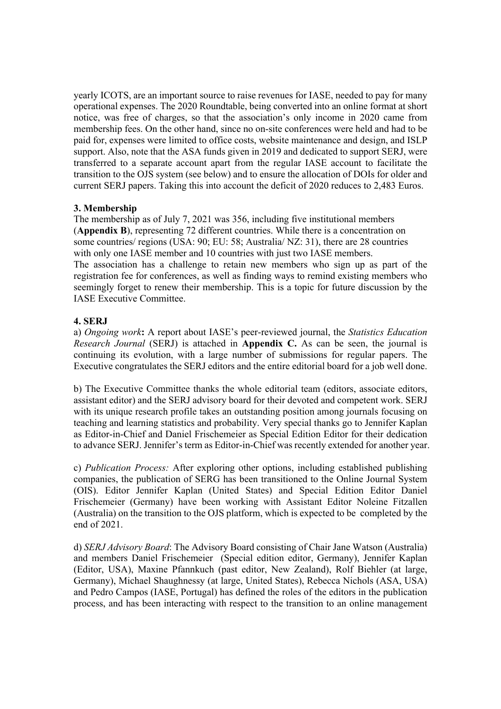yearly ICOTS, are an important source to raise revenues for IASE, needed to pay for many operational expenses. The 2020 Roundtable, being converted into an online format at short notice, was free of charges, so that the association's only income in 2020 came from membership fees. On the other hand, since no on-site conferences were held and had to be paid for, expenses were limited to office costs, website maintenance and design, and ISLP support. Also, note that the ASA funds given in 2019 and dedicated to support SERJ, were transferred to a separate account apart from the regular IASE account to facilitate the transition to the OJS system (see below) and to ensure the allocation of DOIs for older and current SERJ papers. Taking this into account the deficit of 2020 reduces to 2,483 Euros.

#### **3. Membership**

IASE Executive Committee.

The membership as of July 7, 2021 was 356, including five institutional members (**Appendix B**), representing 72 different countries. While there is a concentration on some countries/ regions (USA: 90; EU: 58; Australia/ NZ: 31), there are 28 countries with only one IASE member and 10 countries with just two IASE members. The association has a challenge to retain new members who sign up as part of the registration fee for conferences, as well as finding ways to remind existing members who seemingly forget to renew their membership. This is a topic for future discussion by the

#### **4. SERJ**

a) *Ongoing work***:** A report about IASE's peer-reviewed journal, the *Statistics Education Research Journal* (SERJ) is attached in **Appendix C.** As can be seen, the journal is continuing its evolution, with a large number of submissions for regular papers. The Executive congratulates the SERJ editors and the entire editorial board for a job well done.

b) The Executive Committee thanks the whole editorial team (editors, associate editors, assistant editor) and the SERJ advisory board for their devoted and competent work. SERJ with its unique research profile takes an outstanding position among journals focusing on teaching and learning statistics and probability. Very special thanks go to Jennifer Kaplan as Editor-in-Chief and Daniel Frischemeier as Special Edition Editor for their dedication to advance SERJ. Jennifer's term as Editor-in-Chief was recently extended for another year.

c) *Publication Process:* After exploring other options, including established publishing companies, the publication of SERG has been transitioned to the Online Journal System (OIS). Editor Jennifer Kaplan (United States) and Special Edition Editor Daniel Frischemeier (Germany) have been working with Assistant Editor Noleine Fitzallen (Australia) on the transition to the OJS platform, which is expected to be completed by the end of 2021.

d) *SERJ Advisory Board*: The Advisory Board consisting of Chair Jane Watson (Australia) and members Daniel Frischemeier (Special edition editor, Germany), Jennifer Kaplan (Editor, USA), Maxine Pfannkuch (past editor, New Zealand), Rolf Biehler (at large, Germany), Michael Shaughnessy (at large, United States), Rebecca Nichols (ASA, USA) and Pedro Campos (IASE, Portugal) has defined the roles of the editors in the publication process, and has been interacting with respect to the transition to an online management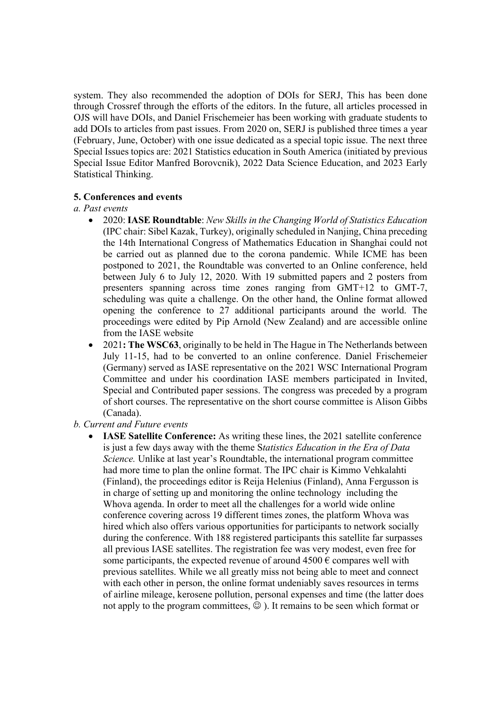system. They also recommended the adoption of DOIs for SERJ, This has been done through Crossref through the efforts of the editors. In the future, all articles processed in OJS will have DOIs, and Daniel Frischemeier has been working with graduate students to add DOIs to articles from past issues. From 2020 on, SERJ is published three times a year (February, June, October) with one issue dedicated as a special topic issue. The next three Special Issues topics are: 2021 Statistics education in South America (initiated by previous Special Issue Editor Manfred Borovcnik), 2022 Data Science Education, and 2023 Early Statistical Thinking.

#### **5. Conferences and events**

#### *a. Past events*

- 2020: **IASE Roundtable**: *New Skills in the Changing World of Statistics Education*  (IPC chair: Sibel Kazak, Turkey), originally scheduled in Nanjing, China preceding the 14th International Congress of Mathematics Education in Shanghai could not be carried out as planned due to the corona pandemic. While ICME has been postponed to 2021, the Roundtable was converted to an Online conference, held between July 6 to July 12, 2020. With 19 submitted papers and 2 posters from presenters spanning across time zones ranging from GMT+12 to GMT-7, scheduling was quite a challenge. On the other hand, the Online format allowed opening the conference to 27 additional participants around the world. The proceedings were edited by Pip Arnold (New Zealand) and are accessible online from the IASE website
- 2021**: The WSC63**, originally to be held in The Hague in The Netherlands between July 11-15, had to be converted to an online conference. Daniel Frischemeier (Germany) served as IASE representative on the 2021 WSC International Program Committee and under his coordination IASE members participated in Invited, Special and Contributed paper sessions. The congress was preceded by a program of short courses. The representative on the short course committee is Alison Gibbs (Canada).

#### *b. Current and Future events*

• **IASE Satellite Conference:** As writing these lines, the 2021 satellite conference is just a few days away with the theme S*tatistics Education in the Era of Data Science.* Unlike at last year's Roundtable, the international program committee had more time to plan the online format. The IPC chair is Kimmo Vehkalahti (Finland), the proceedings editor is Reija Helenius (Finland), Anna Fergusson is in charge of setting up and monitoring the online technology including the Whova agenda. In order to meet all the challenges for a world wide online conference covering across 19 different times zones, the platform Whova was hired which also offers various opportunities for participants to network socially during the conference. With 188 registered participants this satellite far surpasses all previous IASE satellites. The registration fee was very modest, even free for some participants, the expected revenue of around  $4500 \text{ }\epsilon$  compares well with previous satellites. While we all greatly miss not being able to meet and connect with each other in person, the online format undeniably saves resources in terms of airline mileage, kerosene pollution, personal expenses and time (the latter does not apply to the program committees,  $\odot$  ). It remains to be seen which format or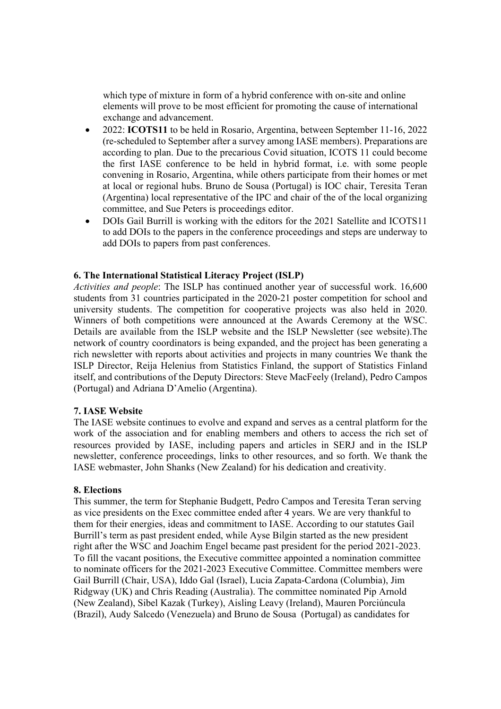which type of mixture in form of a hybrid conference with on-site and online elements will prove to be most efficient for promoting the cause of international exchange and advancement.

- 2022: **ICOTS11** to be held in Rosario, Argentina, between September 11-16, 2022 (re-scheduled to September after a survey among IASE members). Preparations are according to plan. Due to the precarious Covid situation, ICOTS 11 could become the first IASE conference to be held in hybrid format, i.e. with some people convening in Rosario, Argentina, while others participate from their homes or met at local or regional hubs. Bruno de Sousa (Portugal) is IOC chair, Teresita Teran (Argentina) local representative of the IPC and chair of the of the local organizing committee, and Sue Peters is proceedings editor.
- DOIs Gail Burrill is working with the editors for the 2021 Satellite and ICOTS11 to add DOIs to the papers in the conference proceedings and steps are underway to add DOIs to papers from past conferences.

#### **6. The International Statistical Literacy Project (ISLP)**

*Activities and people*: The ISLP has continued another year of successful work. 16,600 students from 31 countries participated in the 2020-21 poster competition for school and university students. The competition for cooperative projects was also held in 2020. Winners of both competitions were announced at the Awards Ceremony at the WSC. Details are available from the ISLP website and the ISLP Newsletter (see website).The network of country coordinators is being expanded, and the project has been generating a rich newsletter with reports about activities and projects in many countries We thank the ISLP Director, Reija Helenius from Statistics Finland, the support of Statistics Finland itself, and contributions of the Deputy Directors: Steve MacFeely (Ireland), Pedro Campos (Portugal) and Adriana D'Amelio (Argentina).

#### **7. IASE Website**

The IASE website continues to evolve and expand and serves as a central platform for the work of the association and for enabling members and others to access the rich set of resources provided by IASE, including papers and articles in SERJ and in the ISLP newsletter, conference proceedings, links to other resources, and so forth. We thank the IASE webmaster, John Shanks (New Zealand) for his dedication and creativity.

#### **8. Elections**

This summer, the term for Stephanie Budgett, Pedro Campos and Teresita Teran serving as vice presidents on the Exec committee ended after 4 years. We are very thankful to them for their energies, ideas and commitment to IASE. According to our statutes Gail Burrill's term as past president ended, while Ayse Bilgin started as the new president right after the WSC and Joachim Engel became past president for the period 2021-2023. To fill the vacant positions, the Executive committee appointed a nomination committee to nominate officers for the 2021-2023 Executive Committee. Committee members were Gail Burrill (Chair, USA), Iddo Gal (Israel), Lucia Zapata-Cardona (Columbia), Jim Ridgway (UK) and Chris Reading (Australia). The committee nominated Pip Arnold (New Zealand), Sibel Kazak (Turkey), Aisling Leavy (Ireland), Mauren Porciúncula (Brazil), Audy Salcedo (Venezuela) and Bruno de Sousa (Portugal) as candidates for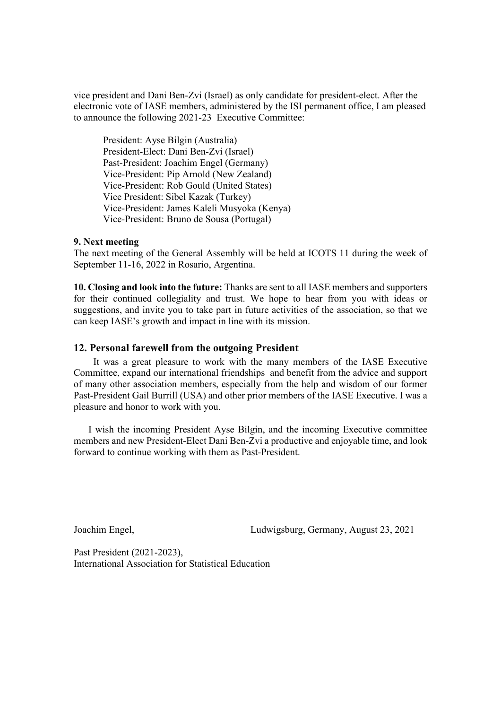vice president and Dani Ben-Zvi (Israel) as only candidate for president-elect. After the electronic vote of IASE members, administered by the ISI permanent office, I am pleased to announce the following 2021-23 Executive Committee:

President: Ayse Bilgin (Australia) President-Elect: Dani Ben-Zvi (Israel) Past-President: Joachim Engel (Germany) Vice-President: Pip Arnold (New Zealand) Vice-President: Rob Gould (United States) Vice President: Sibel Kazak (Turkey) Vice-President: James Kaleli Musyoka (Kenya) Vice-President: Bruno de Sousa (Portugal)

#### **9. Next meeting**

The next meeting of the General Assembly will be held at ICOTS 11 during the week of September 11-16, 2022 in Rosario, Argentina.

**10. Closing and look into the future:** Thanks are sent to all IASE members and supporters for their continued collegiality and trust. We hope to hear from you with ideas or suggestions, and invite you to take part in future activities of the association, so that we can keep IASE's growth and impact in line with its mission.

#### **12. Personal farewell from the outgoing President**

 It was a great pleasure to work with the many members of the IASE Executive Committee, expand our international friendships and benefit from the advice and support of many other association members, especially from the help and wisdom of our former Past-President Gail Burrill (USA) and other prior members of the IASE Executive. I was a pleasure and honor to work with you.

I wish the incoming President Ayse Bilgin, and the incoming Executive committee members and new President-Elect Dani Ben-Zvi a productive and enjoyable time, and look forward to continue working with them as Past-President.

Joachim Engel, Ludwigsburg, Germany, August 23, 2021

Past President (2021-2023), International Association for Statistical Education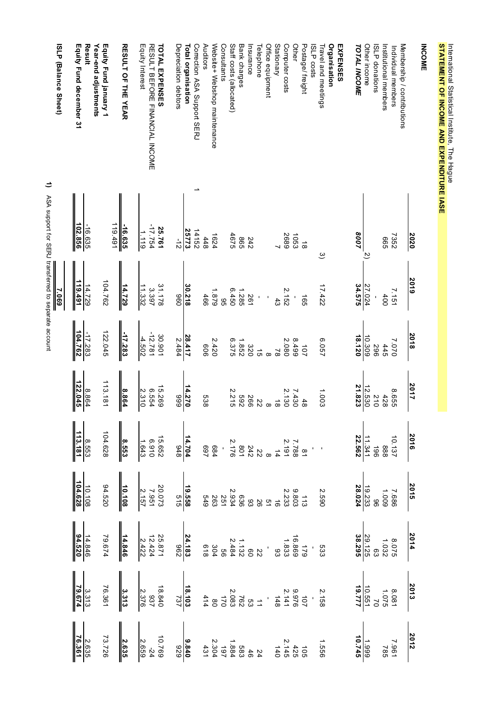| <b>INCOME</b>                                    |                    |                   |                    |                  |                                                                          |                                                                                                |                                                                                     |
|--------------------------------------------------|--------------------|-------------------|--------------------|------------------|--------------------------------------------------------------------------|------------------------------------------------------------------------------------------------|-------------------------------------------------------------------------------------|
|                                                  | <b>2020</b>        | 2019              | 2018               | 2017             |                                                                          |                                                                                                |                                                                                     |
| Membership / contributions<br>Individual members | 7352               | 7.151             | 7.070              | 9.655            | $\begin{array}{r} 2016 \\ 10.137 \\ 888 \\ 14.341 \\ 22.562 \end{array}$ | $\begin{array}{r} 2014 \\ 8.075 \\ \begin{array}{r} 0.075 \\ 1.032 \\ \end{array} \end{array}$ | $\begin{array}{r l}\n 2012 \\ & 1.995 \\ & 1.995 \\ \hline\n & 1.999\n \end{array}$ |
| Institutional members                            | 999                | 400               | 445                | 428              |                                                                          |                                                                                                |                                                                                     |
| <b>ISLP</b> donations                            |                    |                   | 967                | $\frac{210}{10}$ |                                                                          |                                                                                                |                                                                                     |
| Other income                                     |                    | 27.024            | 10.309             | 12.530           |                                                                          |                                                                                                |                                                                                     |
| <b>TOTAL INCOME</b>                              | 8007               | 34.575            | 18.120             | 21.823           |                                                                          |                                                                                                |                                                                                     |
| EXPENSES                                         |                    |                   |                    |                  |                                                                          |                                                                                                |                                                                                     |
| <b>Organisation</b><br>Travel and meetings       | $\tilde{\circ}$    | 17.422            | 25057              | 1.003            |                                                                          |                                                                                                |                                                                                     |
| <b>ISLP</b> costs                                |                    |                   |                    |                  |                                                                          |                                                                                                |                                                                                     |
| Postage/ freight                                 | $\vec{8}$          | 165               | 101                | $\frac{4}{8}$    |                                                                          |                                                                                                |                                                                                     |
| Other                                            | 1053               |                   | 8499               | 7.430            |                                                                          |                                                                                                |                                                                                     |
| Computer costs                                   | 5689               | 2.152             | 2.080              | 2.130            |                                                                          |                                                                                                |                                                                                     |
| <b>Stationary</b>                                |                    | $\frac{4}{3}$     | $\approx$          | $\vec{8}$        |                                                                          |                                                                                                |                                                                                     |
| Office equipment                                 |                    |                   | $\infty$           | $\infty$         |                                                                          |                                                                                                |                                                                                     |
| Telephone                                        |                    |                   | $\vec{q}$          | 22               |                                                                          |                                                                                                |                                                                                     |
| Insurance                                        | 242                | 561               | 320                | 566              |                                                                          |                                                                                                |                                                                                     |
| Bank charges                                     | 985                | 1.285             | 1.852              | 269              |                                                                          |                                                                                                |                                                                                     |
| Staff costs (allocated)                          | 4675               | 02.450            | 6.375              | 2.215            |                                                                          |                                                                                                |                                                                                     |
| Consultants                                      |                    | 95                |                    |                  |                                                                          |                                                                                                |                                                                                     |
| Website+ Webshop maintenance                     | 1624               | 1.879             | 2420               |                  |                                                                          |                                                                                                |                                                                                     |
| Auditors                                         | 448                | 466               | 909                | 889              |                                                                          |                                                                                                |                                                                                     |
| Correction ASA Support SERJ                      | 14152              |                   |                    |                  |                                                                          |                                                                                                |                                                                                     |
| Total organisation                               | 25773              | 30.218            | 28.417             | 14.270           |                                                                          |                                                                                                |                                                                                     |
| Depreciation debtors                             | $\frac{1}{2}$      | 096               | 2.484              | 666              |                                                                          |                                                                                                |                                                                                     |
| <b>TOTAL EXPENSES</b>                            | 25.761             | 31.178            | 30.901             | 15.269           |                                                                          |                                                                                                |                                                                                     |
| RESULT BEFORE FINANCIAL INCOME                   | -17.754            | 3397              | $-12.781$          | 6.554            |                                                                          |                                                                                                |                                                                                     |
| Equity Interest                                  | 1.119              | 11.332            | $-4.502$           | 2.310            |                                                                          |                                                                                                |                                                                                     |
| <b>RESULT OF THE YEAR</b>                        | $-16.635$          | 14.729            | -17.283            | 8.864            |                                                                          |                                                                                                |                                                                                     |
|                                                  | 119.491            |                   |                    |                  |                                                                          |                                                                                                |                                                                                     |
| Year-end adjustments<br>Equity Fund january 1    |                    | 104.762           | 122.045            | 113.181          |                                                                          |                                                                                                |                                                                                     |
| Result<br>Equity Fund december 31                | 102.856<br>-16.635 | 119.491<br>14.729 | 104.762<br>-17.283 | 122.045<br>8.864 |                                                                          |                                                                                                |                                                                                     |
|                                                  |                    |                   |                    |                  |                                                                          |                                                                                                |                                                                                     |
| <b>ISLP (Balance Sheet)</b>                      |                    | 7.069             |                    |                  |                                                                          |                                                                                                |                                                                                     |

**STATEMENT OF INCOME AND EXPENDITURE IASE**

International Statistical Institute, The Hague<br>STATEMENT OF INCOME AND EXPENDITURE IASE

International Statistical Institute, The Hague

1) ASA support for SERJ transferred to separate account ASA support for SERJ transferred to separate account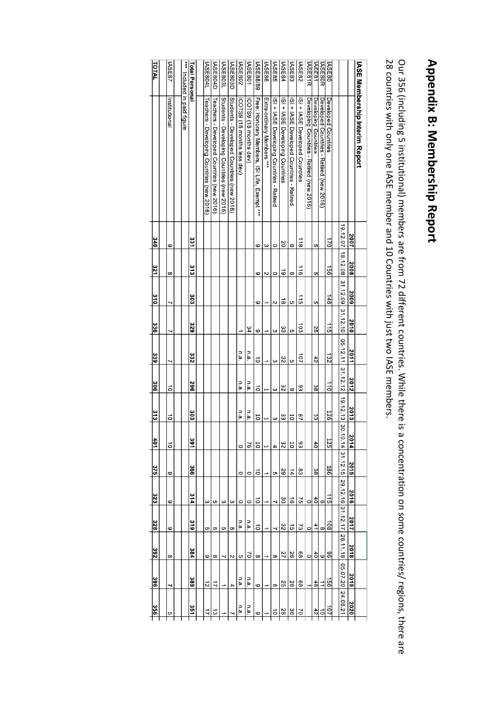# Appendix B: Membership Report **Appendix B: Membership Report**

Our 356 (including 5 institutional) members are from 72 different countries. While there is a concentration on some countries/ regions, there are 28 countries with only one IASE member and 10 Countries with just two IASE members.

| 323<br>328<br>392<br>396                                                                   |  |  | 375 | 401 | $rac{3}{3}$ | នី                       | 339       | 336             | $\frac{3}{2}$     | 321             | 340               |                                                           | TOTAL            |
|--------------------------------------------------------------------------------------------|--|--|-----|-----|-------------|--------------------------|-----------|-----------------|-------------------|-----------------|-------------------|-----------------------------------------------------------|------------------|
|                                                                                            |  |  |     |     |             |                          |           |                 |                   |                 |                   |                                                           |                  |
| $\vec{0}$<br>ō<br>ဖ<br>ဖ<br>ဖ<br>$\infty$                                                  |  |  |     |     |             | ō                        |           |                 |                   | $\infty$        | ဖ                 | Institutional                                             | ASE87            |
|                                                                                            |  |  |     |     |             |                          |           |                 |                   |                 |                   | *** Included in paid figure                               |                  |
| និ<br>391<br>366<br>314<br>319<br>384<br>389                                               |  |  |     |     |             | 382                      | 332       | 329             | និ                | ះ               | នីក               |                                                           | Total Personal   |
|                                                                                            |  |  |     |     |             |                          |           |                 |                   |                 |                   |                                                           |                  |
| ς<br>c<br>6<br>$\vec{z}$                                                                   |  |  |     |     |             |                          |           |                 |                   |                 |                   | Teachers - Developing Countries (new 2016)                | <b>ASE804L</b>   |
| c<br>တ<br>$\infty$<br>$\vec{u}$                                                            |  |  |     |     |             |                          |           |                 |                   |                 |                   | Teachers - Developed Countries (new 2016)                 | <b>IASE804D</b>  |
| ω<br>c<br>┙                                                                                |  |  |     |     |             |                          |           |                 |                   |                 |                   | Students - Developing Countries (new 2016)                | <b>ASE803L</b>   |
| ω<br>$\infty$<br>Z<br>4                                                                    |  |  |     |     |             |                          |           |                 |                   |                 |                   | Sindents - Developed Countries (new 2016)                 | <b>IASE803D</b>  |
| n.a.<br>$\circ$<br>$\circ$<br>$\circ$<br>n.a.<br>c<br>n.a.                                 |  |  |     |     |             | n.a.                     | n.a.      |                 |                   |                 |                   | ICOTS9 (18 months less dev)                               | <b>ASE802</b>    |
| n.a.<br>76<br>$\circ$<br>$\circ$<br>٦.<br>2<br>n.a.                                        |  |  |     |     |             | n.a.                     | n.a       | 34              |                   |                 |                   | ICOTS9 (18 months dev)                                    | <b>ASE801</b>    |
| 10<br>50<br>$\vec{o}$<br>ō<br>$\vec{o}$<br>$\infty$<br>6                                   |  |  |     |     |             | ă                        | $\vec{0}$ | 6               | $\mathbf{c}$      | $\circ$         | ဖ                 | Free: Honorary Members,<br><b>ISILife</b> ,<br>Exempt *** | <b>IASE88/89</b> |
| F<br>L                                                                                     |  |  |     |     |             | $\overline{\phantom{0}}$ |           |                 |                   | $\sim$          | ω                 | Extra-ordinary Members ***                                | <b>ASE86</b>     |
| ω<br>4<br>c<br>┙<br>J<br>$\infty$<br>$\infty$                                              |  |  |     |     |             | ω                        | ω         | ယ               | Z                 | $\circ$         | $\circ$           | ISI + IASE Developing Countries - Retired                 | <b>IASE85</b>    |
| ပ္ပ<br>32<br>29<br>gδ<br>32<br>27<br>25                                                    |  |  |     |     |             | 32                       | 32        | အိ              | ಹ                 | ಠ               | SO                | ISI + IASE Developing Countries                           | <b>ASE84</b>     |
| 50<br>50<br>$\frac{1}{4}$<br>ಕ<br>ದ<br>92<br>28                                            |  |  |     |     |             | 9                        | S         | c               | c                 | တ               | თ                 | ISI + IASE Developed Countries - Retired                  | <b>IASE83</b>    |
| 27<br>93<br>83<br>57<br>2<br>88<br>88                                                      |  |  |     |     |             | 93                       | 107       | $\frac{103}{2}$ | 115               | $\frac{1}{10}$  | $\frac{118}{118}$ | ISI + IASE Developed Countries                            | <b>IASE82</b>    |
| 0<br>$\circ$<br>$\circ$                                                                    |  |  |     |     |             |                          |           |                 |                   |                 |                   | Developing Countries - Retired (new 2016)                 | <b>IASE81R</b>   |
| ပ္ပ<br>$\overline{d}$<br>အိ<br>$^{40}$<br>41<br>$^{40}$<br>48                              |  |  |     |     |             | 88                       | 42        | 25              | <b>G</b>          | G               | c                 | Developing Countries                                      | IASE81           |
| თ<br>$\infty$<br>$\circ$                                                                   |  |  |     |     |             |                          |           |                 |                   |                 |                   | Developed Countries - Retired (new 2016)                  | ASE80R           |
| 126<br>125<br><b>186</b><br>$\vec{5}$<br>$\overline{5}$<br>96<br>$\overline{9}$            |  |  |     |     |             | $\frac{1}{10}$           | 132       | $\frac{1}{2}$   | 148               | $\overline{56}$ | $\frac{1}{2}$     | Developed Countries                                       | <b>ASE80</b>     |
|                                                                                            |  |  |     |     |             |                          |           |                 |                   |                 |                   |                                                           |                  |
| 19.12.13 30.10<br>1/4<br>31.12.15<br>29.12.16 31.12.17<br>28.11.18<br>05.07.20<br>24.08.21 |  |  |     |     |             | 31.12.12                 | 05.12.11  |                 | 31.12.09 31.12.10 | 18.12.08        | 19.12.07          |                                                           |                  |
| 2013<br>2014<br>2015<br>2016<br>2017<br>2018<br>2019                                       |  |  |     |     |             | 2012                     | 2011      | 2010            | <b>2009</b>       | 2008            | 2007              |                                                           |                  |
|                                                                                            |  |  |     |     |             |                          |           |                 |                   |                 |                   | IASE Members hip Interim Report                           |                  |
|                                                                                            |  |  |     |     |             |                          |           |                 |                   |                 |                   |                                                           |                  |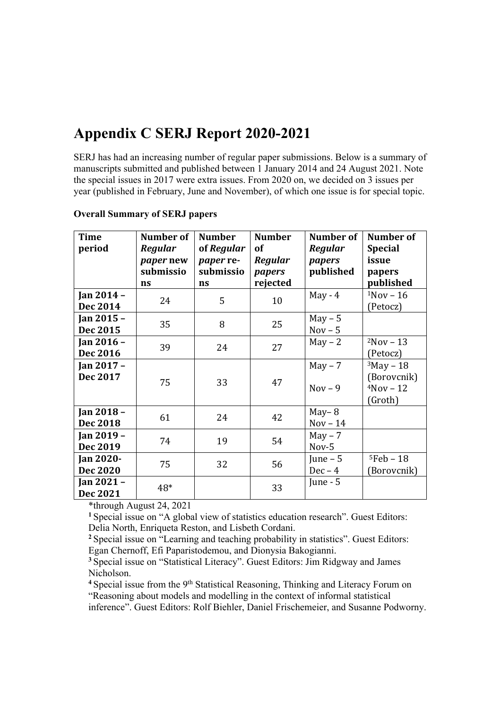# **Appendix C SERJ Report 2020-2021**

SERJ has had an increasing number of regular paper submissions. Below is a summary of manuscripts submitted and published between 1 January 2014 and 24 August 2021. Note the special issues in 2017 were extra issues. From 2020 on, we decided on 3 issues per year (published in February, June and November), of which one issue is for special topic.

| <b>Time</b><br>period        | Number of<br>Regular<br><i>paper</i> new<br>submissio<br>ns | <b>Number</b><br>of Regular<br><i>paper</i> re-<br>submissio<br>ns | <b>Number</b><br><b>of</b><br>Regular<br>papers<br>rejected | Number of<br><b>Regular</b><br>papers<br>published | Number of<br><b>Special</b><br>issue<br>papers<br>published |
|------------------------------|-------------------------------------------------------------|--------------------------------------------------------------------|-------------------------------------------------------------|----------------------------------------------------|-------------------------------------------------------------|
| Jan 2014 -<br>Dec 2014       | 24                                                          | 5                                                                  | 10                                                          | $May - 4$                                          | $1$ Nov - 16<br>(Petocz)                                    |
| Jan 2015 -<br>Dec 2015       | 35                                                          | 8                                                                  | 25                                                          | $May - 5$<br>$Nov - 5$                             |                                                             |
| Jan 2016 -<br>Dec 2016       | 39                                                          | 24                                                                 | 27                                                          | $May - 2$                                          | $2Nov - 13$<br>(Petocz)                                     |
| Jan 2017 -<br>Dec 2017       | 75                                                          | 33                                                                 | 47                                                          | $May - 7$<br>$Nov - 9$                             | $3$ May - 18<br>(Borovcnik)<br>$4Nov - 12$<br>(Groth)       |
| Jan 2018 -<br>Dec 2018       | 61                                                          | 24                                                                 | 42                                                          | $May-8$<br>$Nov - 14$                              |                                                             |
| Jan 2019 -<br>Dec 2019       | 74                                                          | 19                                                                 | 54                                                          | $May - 7$<br>Nov-5                                 |                                                             |
| <b>Jan 2020-</b><br>Dec 2020 | 75                                                          | 32                                                                 | 56                                                          | June $-5$<br>$Dec-4$                               | $5Feb - 18$<br>(Borovcnik)                                  |
| Jan 2021 -<br>Dec 2021       | 48*                                                         |                                                                    | 33                                                          | June - $5$                                         |                                                             |

#### **Overall Summary of SERJ papers**

\*through August 24, 2021

**<sup>1</sup>**Special issue on "A global view of statistics education research". Guest Editors: Delia North, Enriqueta Reston, and Lisbeth Cordani.

**<sup>2</sup>**Special issue on "Learning and teaching probability in statistics". Guest Editors: Egan Chernoff, Efi Paparistodemou, and Dionysia Bakogianni.

**<sup>3</sup>**Special issue on "Statistical Literacy". Guest Editors: Jim Ridgway and James Nicholson.

<sup>4</sup> Special issue from the 9<sup>th</sup> Statistical Reasoning, Thinking and Literacy Forum on "Reasoning about models and modelling in the context of informal statistical inference". Guest Editors: Rolf Biehler, Daniel Frischemeier, and Susanne Podworny.